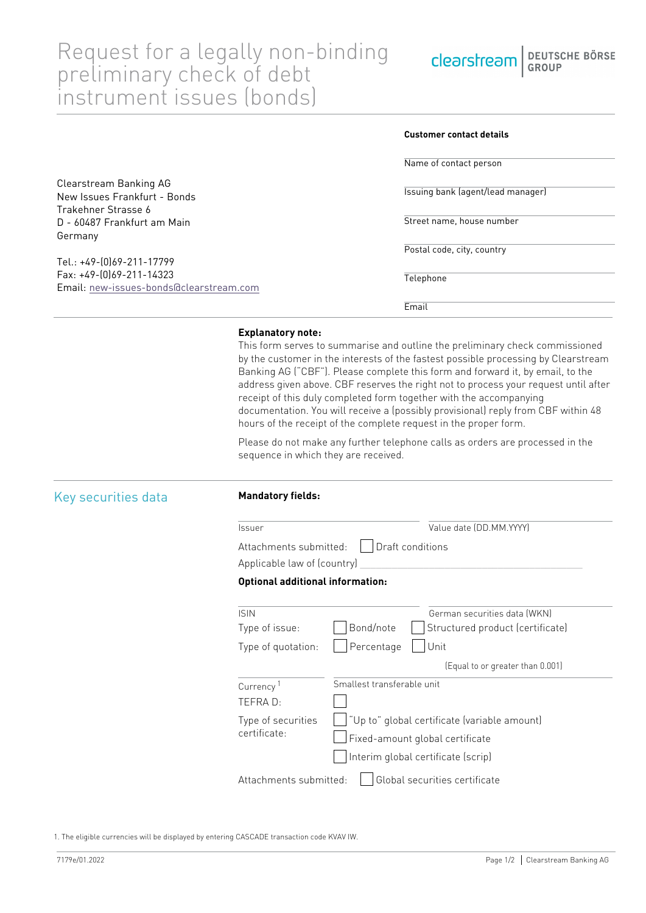**Customer contact details**

|                                         | Name of contact person            |
|-----------------------------------------|-----------------------------------|
| Clearstream Banking AG                  |                                   |
| New Issues Frankfurt - Bonds            | Issuing bank (agent/lead manager) |
| Trakehner Strasse 6                     |                                   |
| D - 60487 Frankfurt am Main             | Street name, house number         |
| Germany                                 |                                   |
|                                         | Postal code, city, country        |
| Tel.: +49-(0)69-211-17799               |                                   |
| Fax: +49-(0)69-211-14323                | Telephone                         |
| Email: new-issues-bonds@clearstream.com |                                   |
|                                         | Email                             |

## **Explanatory note:**

This form serves to summarise and outline the preliminary check commissioned by the customer in the interests of the fastest possible processing by Clearstream Banking AG ("CBF"). Please complete this form and forward it, by email, to the address given above. CBF reserves the right not to process your request until after receipt of this duly completed form together with the accompanying documentation. You will receive a (possibly provisional) reply from CBF within 48 hours of the receipt of the complete request in the proper form.

Please do not make any further telephone calls as orders are processed in the sequence in which they are received.

| Key securities data |  |
|---------------------|--|
|                     |  |

### **Mandatory fields:**

Issuer Value date (DD.MM.YYYY) Attachments submitted: Draft conditions

# Applicable law of (country)

## **Optional additional information:**

| <b>ISIN</b>                                             | German securities data (WKN)                  |  |
|---------------------------------------------------------|-----------------------------------------------|--|
| Type of issue:                                          | Bond/note<br>Structured product (certificate) |  |
| Type of quotation:                                      | Percentage<br>Unit                            |  |
|                                                         | (Equal to or greater than 0.001)              |  |
| Currency <sup>1</sup>                                   | Smallest transferable unit                    |  |
| TEFRA D:                                                |                                               |  |
| Type of securities<br>certificate:                      | "Up to" global certificate (variable amount)  |  |
|                                                         | Fixed-amount global certificate               |  |
|                                                         | Interim global certificate (scrip)            |  |
| Global securities certificate<br>Attachments submitted: |                                               |  |
|                                                         |                                               |  |

1. The eligible currencies will be displayed by entering CASCADE transaction code KVAV IW.